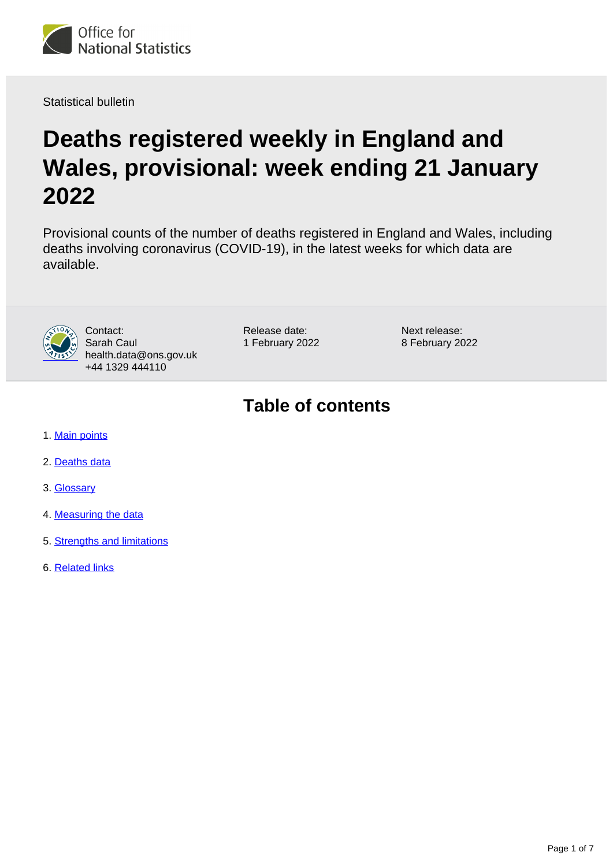

Statistical bulletin

# **Deaths registered weekly in England and Wales, provisional: week ending 21 January 2022**

Provisional counts of the number of deaths registered in England and Wales, including deaths involving coronavirus (COVID-19), in the latest weeks for which data are available.



Contact: Sarah Caul health.data@ons.gov.uk +44 1329 444110

Release date: 1 February 2022 Next release: 8 February 2022

## **Table of contents**

- 1. [Main points](#page-1-0)
- 2. [Deaths data](#page-2-0)
- 3. [Glossary](#page-3-0)
- 4. [Measuring the data](#page-3-1)
- 5. [Strengths and limitations](#page-4-0)
- 6. [Related links](#page-6-0)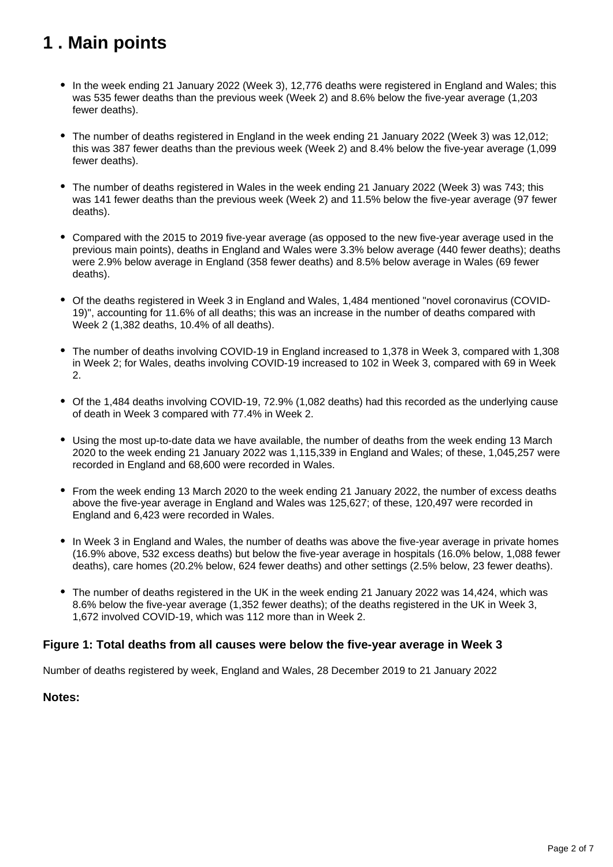## <span id="page-1-0"></span>**1 . Main points**

- In the week ending 21 January 2022 (Week 3), 12,776 deaths were registered in England and Wales; this was 535 fewer deaths than the previous week (Week 2) and 8.6% below the five-year average (1,203 fewer deaths).
- The number of deaths registered in England in the week ending 21 January 2022 (Week 3) was 12,012; this was 387 fewer deaths than the previous week (Week 2) and 8.4% below the five-year average (1,099 fewer deaths).
- The number of deaths registered in Wales in the week ending 21 January 2022 (Week 3) was 743; this was 141 fewer deaths than the previous week (Week 2) and 11.5% below the five-year average (97 fewer deaths).
- Compared with the 2015 to 2019 five-year average (as opposed to the new five-year average used in the previous main points), deaths in England and Wales were 3.3% below average (440 fewer deaths); deaths were 2.9% below average in England (358 fewer deaths) and 8.5% below average in Wales (69 fewer deaths).
- Of the deaths registered in Week 3 in England and Wales, 1,484 mentioned "novel coronavirus (COVID-19)", accounting for 11.6% of all deaths; this was an increase in the number of deaths compared with Week 2 (1,382 deaths, 10.4% of all deaths).
- The number of deaths involving COVID-19 in England increased to 1,378 in Week 3, compared with 1,308 in Week 2; for Wales, deaths involving COVID-19 increased to 102 in Week 3, compared with 69 in Week 2.
- Of the 1,484 deaths involving COVID-19, 72.9% (1,082 deaths) had this recorded as the underlying cause of death in Week 3 compared with 77.4% in Week 2.
- Using the most up-to-date data we have available, the number of deaths from the week ending 13 March 2020 to the week ending 21 January 2022 was 1,115,339 in England and Wales; of these, 1,045,257 were recorded in England and 68,600 were recorded in Wales.
- From the week ending 13 March 2020 to the week ending 21 January 2022, the number of excess deaths above the five-year average in England and Wales was 125,627; of these, 120,497 were recorded in England and 6,423 were recorded in Wales.
- In Week 3 in England and Wales, the number of deaths was above the five-year average in private homes (16.9% above, 532 excess deaths) but below the five-year average in hospitals (16.0% below, 1,088 fewer deaths), care homes (20.2% below, 624 fewer deaths) and other settings (2.5% below, 23 fewer deaths).
- The number of deaths registered in the UK in the week ending 21 January 2022 was 14,424, which was 8.6% below the five-year average (1,352 fewer deaths); of the deaths registered in the UK in Week 3, 1,672 involved COVID-19, which was 112 more than in Week 2.

#### **Figure 1: Total deaths from all causes were below the five-year average in Week 3**

Number of deaths registered by week, England and Wales, 28 December 2019 to 21 January 2022

#### **Notes:**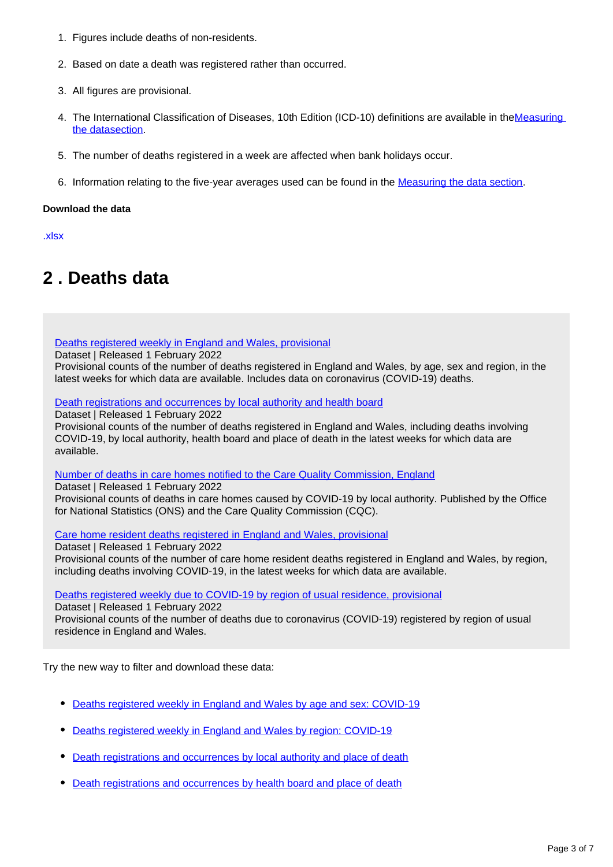- 1. Figures include deaths of non-residents.
- 2. Based on date a death was registered rather than occurred.
- 3. All figures are provisional.
- 4. The International Classification of Diseases, 10th Edition (ICD-10) definitions are available in theMeasuring [the datasection.](https://www.ons.gov.uk/peoplepopulationandcommunity/birthsdeathsandmarriages/deaths/bulletins/deathsregisteredweeklyinenglandandwalesprovisional/weekending21january2022#measuring-the-data)
- 5. The number of deaths registered in a week are affected when bank holidays occur.
- 6. Information relating to the five-year averages used can be found in the **Measuring the data section**.

#### **Download the data**

[.xlsx](https://www.ons.gov.uk/visualisations/dvc1784/fig1/datadownload.xlsx)

## <span id="page-2-0"></span>**2 . Deaths data**

[Deaths registered weekly in England and Wales, provisional](https://www.ons.gov.uk/peoplepopulationandcommunity/birthsdeathsandmarriages/deaths/datasets/weeklyprovisionalfiguresondeathsregisteredinenglandandwales)

Dataset | Released 1 February 2022

Provisional counts of the number of deaths registered in England and Wales, by age, sex and region, in the latest weeks for which data are available. Includes data on coronavirus (COVID-19) deaths.

[Death registrations and occurrences by local authority and health board](https://www.ons.gov.uk/peoplepopulationandcommunity/healthandsocialcare/causesofdeath/datasets/deathregistrationsandoccurrencesbylocalauthorityandhealthboard)

Dataset | Released 1 February 2022

Provisional counts of the number of deaths registered in England and Wales, including deaths involving COVID-19, by local authority, health board and place of death in the latest weeks for which data are available.

[Number of deaths in care homes notified to the Care Quality Commission, England](https://www.ons.gov.uk/peoplepopulationandcommunity/birthsdeathsandmarriages/deaths/datasets/numberofdeathsincarehomesnotifiedtothecarequalitycommissionengland)

Dataset | Released 1 February 2022

Provisional counts of deaths in care homes caused by COVID-19 by local authority. Published by the Office for National Statistics (ONS) and the Care Quality Commission (CQC).

[Care home resident deaths registered in England and Wales, provisional](https://www.ons.gov.uk/peoplepopulationandcommunity/birthsdeathsandmarriages/deaths/datasets/carehomeresidentdeathsregisteredinenglandandwalesprovisional)

Dataset | Released 1 February 2022 Provisional counts of the number of care home resident deaths registered in England and Wales, by region, including deaths involving COVID-19, in the latest weeks for which data are available.

[Deaths registered weekly due to COVID-19 by region of usual residence, provisional](http://www.ons.gov.uk/peoplepopulationandcommunity/birthsdeathsandmarriages/deaths/datasets/deathsregisteredweeklyduetocovid19byregionofusualresidenceprovisional)

Dataset | Released 1 February 2022

Provisional counts of the number of deaths due to coronavirus (COVID-19) registered by region of usual residence in England and Wales.

Try the new way to filter and download these data:

- [Deaths registered weekly in England and Wales by age and sex: COVID-19](https://www.ons.gov.uk/datasets/weekly-deaths-age-sex?%3Auri=weekly-deaths-age-sex%2F)
- [Deaths registered weekly in England and Wales by region: COVID-19](https://www.ons.gov.uk/datasets/weekly-deaths-region/)
- [Death registrations and occurrences by local authority and place of death](https://www.ons.gov.uk/datasets/weekly-deaths-region/)
- [Death registrations and occurrences by health board and place of death](https://www.ons.gov.uk/datasets/weekly-deaths-region/)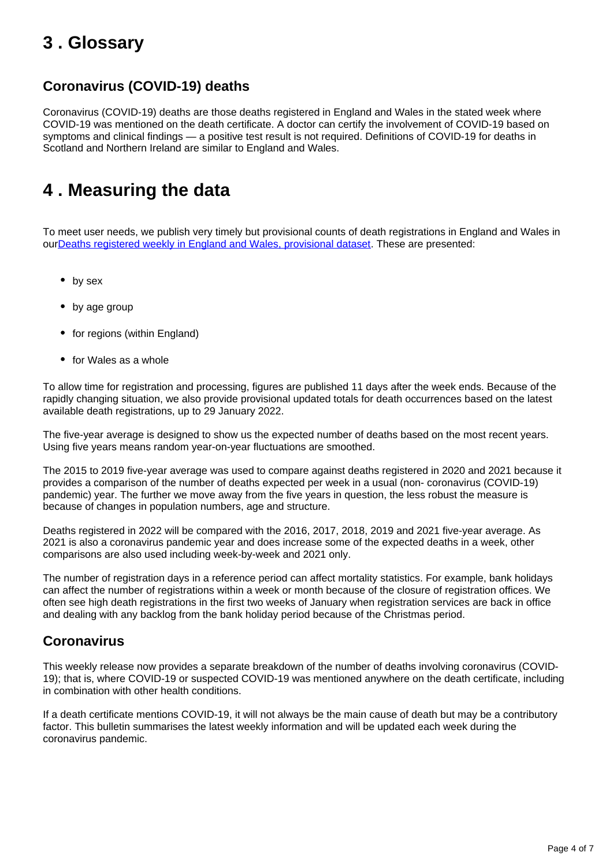## <span id="page-3-0"></span>**3 . Glossary**

### **Coronavirus (COVID-19) deaths**

Coronavirus (COVID-19) deaths are those deaths registered in England and Wales in the stated week where COVID-19 was mentioned on the death certificate. A doctor can certify the involvement of COVID-19 based on symptoms and clinical findings — a positive test result is not required. Definitions of COVID-19 for deaths in Scotland and Northern Ireland are similar to England and Wales.

## <span id="page-3-1"></span>**4 . Measuring the data**

To meet user needs, we publish very timely but provisional counts of death registrations in England and Wales in ou[rDeaths registered weekly in England and Wales, provisional dataset](https://www.ons.gov.uk/peoplepopulationandcommunity/birthsdeathsandmarriages/deaths/datasets/weeklyprovisionalfiguresondeathsregisteredinenglandandwales). These are presented:

- by sex
- by age group
- for regions (within England)
- for Wales as a whole

To allow time for registration and processing, figures are published 11 days after the week ends. Because of the rapidly changing situation, we also provide provisional updated totals for death occurrences based on the latest available death registrations, up to 29 January 2022.

The five-year average is designed to show us the expected number of deaths based on the most recent years. Using five years means random year-on-year fluctuations are smoothed.

The 2015 to 2019 five-year average was used to compare against deaths registered in 2020 and 2021 because it provides a comparison of the number of deaths expected per week in a usual (non- coronavirus (COVID-19) pandemic) year. The further we move away from the five years in question, the less robust the measure is because of changes in population numbers, age and structure.

Deaths registered in 2022 will be compared with the 2016, 2017, 2018, 2019 and 2021 five-year average. As 2021 is also a coronavirus pandemic year and does increase some of the expected deaths in a week, other comparisons are also used including week-by-week and 2021 only.

The number of registration days in a reference period can affect mortality statistics. For example, bank holidays can affect the number of registrations within a week or month because of the closure of registration offices. We often see high death registrations in the first two weeks of January when registration services are back in office and dealing with any backlog from the bank holiday period because of the Christmas period.

### **Coronavirus**

This weekly release now provides a separate breakdown of the number of deaths involving coronavirus (COVID-19); that is, where COVID-19 or suspected COVID-19 was mentioned anywhere on the death certificate, including in combination with other health conditions.

If a death certificate mentions COVID-19, it will not always be the main cause of death but may be a contributory factor. This bulletin summarises the latest weekly information and will be updated each week during the coronavirus pandemic.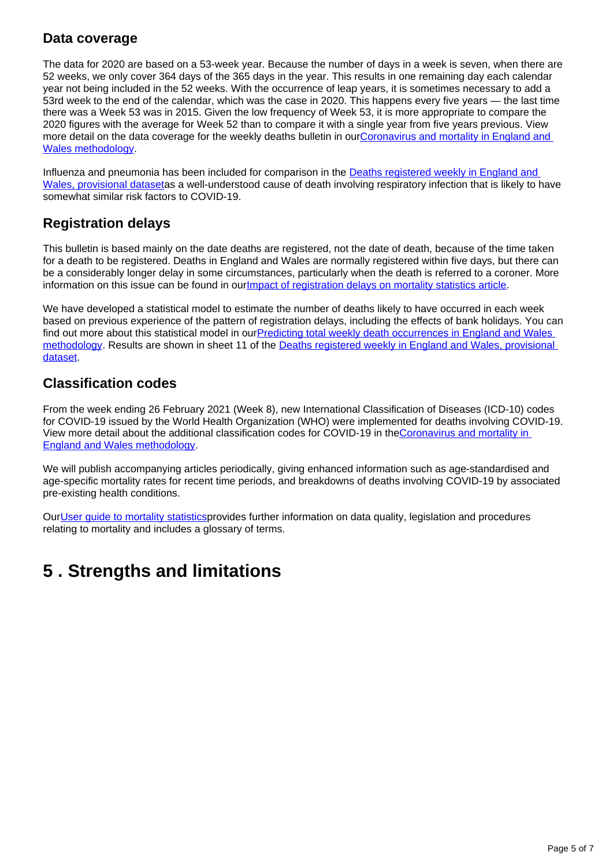### **Data coverage**

The data for 2020 are based on a 53-week year. Because the number of days in a week is seven, when there are 52 weeks, we only cover 364 days of the 365 days in the year. This results in one remaining day each calendar year not being included in the 52 weeks. With the occurrence of leap years, it is sometimes necessary to add a 53rd week to the end of the calendar, which was the case in 2020. This happens every five years — the last time there was a Week 53 was in 2015. Given the low frequency of Week 53, it is more appropriate to compare the 2020 figures with the average for Week 52 than to compare it with a single year from five years previous. View more detail on the data coverage for the weekly deaths bulletin in our[Coronavirus and mortality in England and](https://www.ons.gov.uk/peoplepopulationandcommunity/birthsdeathsandmarriages/deaths/methodologies/coronavirusandmortalityinenglandandwalesmethodology)  [Wales methodology](https://www.ons.gov.uk/peoplepopulationandcommunity/birthsdeathsandmarriages/deaths/methodologies/coronavirusandmortalityinenglandandwalesmethodology).

Influenza and pneumonia has been included for comparison in the **Deaths registered weekly in England and** [Wales, provisional dataseta](https://www.ons.gov.uk/peoplepopulationandcommunity/birthsdeathsandmarriages/deaths/methodologies/coronavirusandmortalityinenglandandwalesmethodology)s a well-understood cause of death involving respiratory infection that is likely to have somewhat similar risk factors to COVID-19.

### **Registration delays**

This bulletin is based mainly on the date deaths are registered, not the date of death, because of the time taken for a death to be registered. Deaths in England and Wales are normally registered within five days, but there can be a considerably longer delay in some circumstances, particularly when the death is referred to a coroner. More information on this issue can be found in our *[Impact of registration delays on mortality statistics article](https://www.ons.gov.uk/peoplepopulationandcommunity/birthsdeathsandmarriages/deaths/articles/impactofregistrationdelaysonmortalitystatisticsinenglandandwales/2020)*.

We have developed a statistical model to estimate the number of deaths likely to have occurred in each week based on previous experience of the pattern of registration delays, including the effects of bank holidays. You can find out more about this statistical model in ourPredicting total weekly death occurrences in England and Wales [methodology.](https://www.ons.gov.uk/peoplepopulationandcommunity/birthsdeathsandmarriages/deaths/methodologies/predictingtotalweeklydeathoccurrencesinenglandandwalesmethodology) Results are shown in sheet 11 of the [Deaths registered weekly in England and Wales, provisional](https://www.ons.gov.uk/peoplepopulationandcommunity/birthsdeathsandmarriages/deaths/datasets/weeklyprovisionalfiguresondeathsregisteredinenglandandwales)  [dataset.](https://www.ons.gov.uk/peoplepopulationandcommunity/birthsdeathsandmarriages/deaths/datasets/weeklyprovisionalfiguresondeathsregisteredinenglandandwales)

### **Classification codes**

From the week ending 26 February 2021 (Week 8), new International Classification of Diseases (ICD-10) codes for COVID-19 issued by the World Health Organization (WHO) were implemented for deaths involving COVID-19. View more detail about the additional classification codes for COVID-19 in the[Coronavirus and mortality in](https://www.ons.gov.uk/peoplepopulationandcommunity/birthsdeathsandmarriages/deaths/methodologies/coronavirusandmortalityinenglandandwalesmethodology)  [England and Wales methodology.](https://www.ons.gov.uk/peoplepopulationandcommunity/birthsdeathsandmarriages/deaths/methodologies/coronavirusandmortalityinenglandandwalesmethodology)

We will publish accompanying articles periodically, giving enhanced information such as age-standardised and age-specific mortality rates for recent time periods, and breakdowns of deaths involving COVID-19 by associated pre-existing health conditions.

Our[User guide to mortality statistics](https://www.ons.gov.uk/peoplepopulationandcommunity/birthsdeathsandmarriages/deaths/methodologies/userguidetomortalitystatisticsjuly2017)provides further information on data quality, legislation and procedures relating to mortality and includes a glossary of terms.

## <span id="page-4-0"></span>**5 . Strengths and limitations**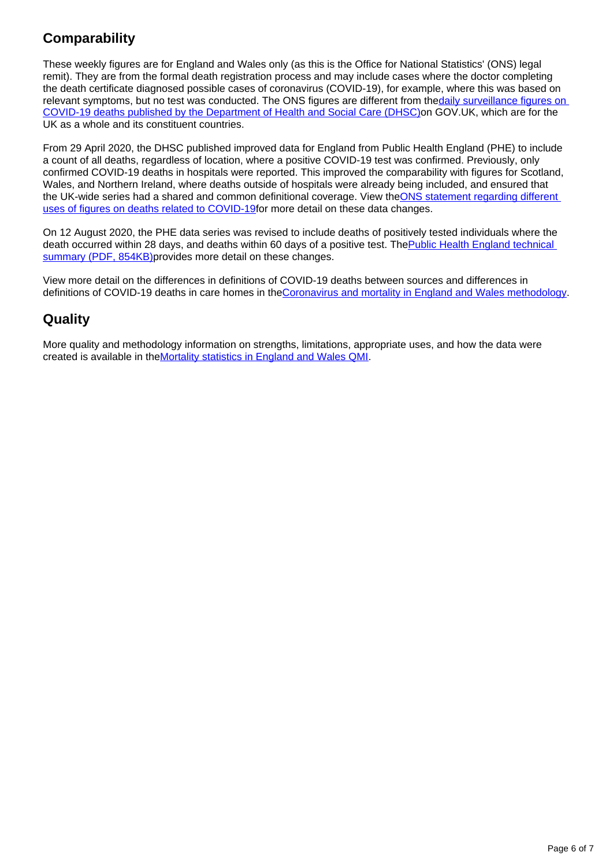### **Comparability**

These weekly figures are for England and Wales only (as this is the Office for National Statistics' (ONS) legal remit). They are from the formal death registration process and may include cases where the doctor completing the death certificate diagnosed possible cases of coronavirus (COVID-19), for example, where this was based on relevant symptoms, but no test was conducted. The ONS figures are different from the daily surveillance figures on [COVID-19 deaths published by the Department of Health and Social Care \(DHSC\)o](https://coronavirus.data.gov.uk/)n GOV.UK, which are for the UK as a whole and its constituent countries.

From 29 April 2020, the DHSC published improved data for England from Public Health England (PHE) to include a count of all deaths, regardless of location, where a positive COVID-19 test was confirmed. Previously, only confirmed COVID-19 deaths in hospitals were reported. This improved the comparability with figures for Scotland, Wales, and Northern Ireland, where deaths outside of hospitals were already being included, and ensured that the UK-wide series had a shared and common definitional coverage. View the ONS statement regarding different [uses of figures on deaths related to COVID-19f](https://www.ons.gov.uk/news/statementsandletters/thedifferentusesoffiguresondeathsfromcovid19publishedbydhscandtheons)or more detail on these data changes.

On 12 August 2020, the PHE data series was revised to include deaths of positively tested individuals where the death occurred within 28 days, and deaths within 60 days of a positive test. The Public Health England technical [summary \(PDF, 854KB\)p](https://assets.publishing.service.gov.uk/government/uploads/system/uploads/attachment_data/file/916035/RA_Technical_Summary_-_PHE_Data_Series_COVID_19_Deaths_20200812.pdf)rovides more detail on these changes.

View more detail on the differences in definitions of COVID-19 deaths between sources and differences in definitions of COVID-19 deaths in care homes in th[eCoronavirus and mortality in England and Wales methodology.](https://www.ons.gov.uk/peoplepopulationandcommunity/birthsdeathsandmarriages/deaths/methodologies/coronavirusandmortalityinenglandandwalesmethodology)

### **Quality**

More quality and methodology information on strengths, limitations, appropriate uses, and how the data were created is available in the[Mortality statistics in England and Wales QMI.](https://www.ons.gov.uk/peoplepopulationandcommunity/birthsdeathsandmarriages/deaths/methodologies/mortalitystatisticsinenglandandwalesqmi)